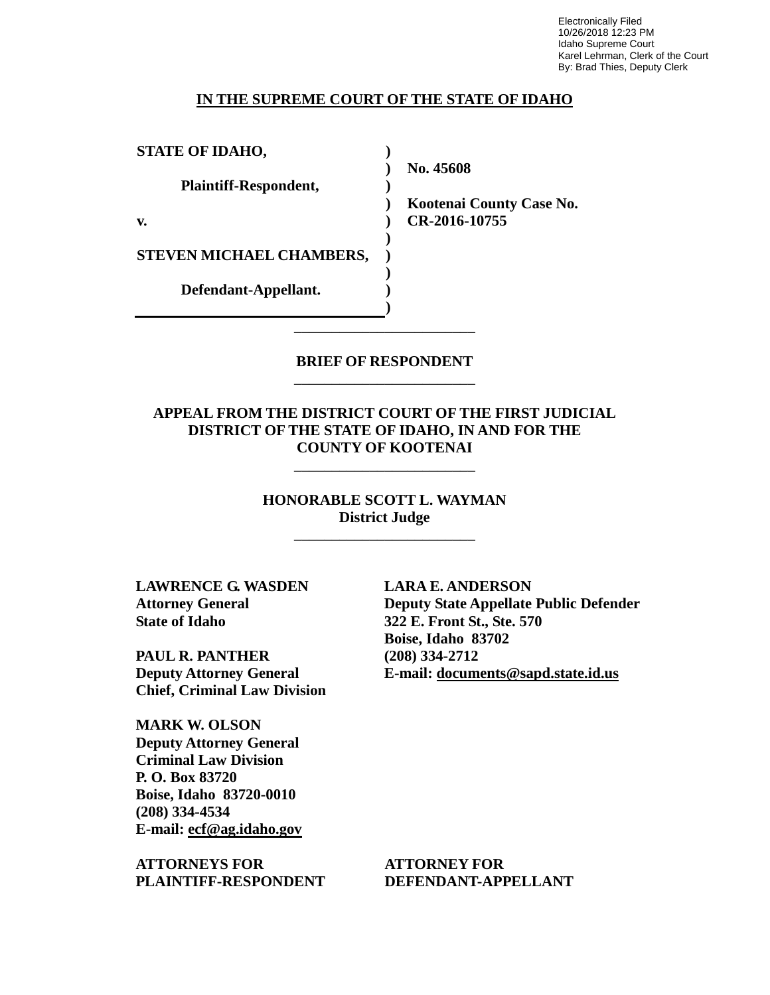Electronically Filed 10/26/2018 12:23 PM Idaho Supreme Court Karel Lehrman, Clerk of the Court By: Brad Thies, Deputy Clerk

# **IN THE SUPREME COURT OF THE STATE OF IDAHO**

**STATE OF IDAHO, Plaintiff-Respondent, v. STEVEN MICHAEL CHAMBERS, Defendant-Appellant. ) ) ) ) ) ) ) ) ) ) No. 45608** 

**Kootenai County Case No. CR-2016-10755** 

# **BRIEF OF RESPONDENT** \_\_\_\_\_\_\_\_\_\_\_\_\_\_\_\_\_\_\_\_\_\_\_\_

\_\_\_\_\_\_\_\_\_\_\_\_\_\_\_\_\_\_\_\_\_\_\_\_

**APPEAL FROM THE DISTRICT COURT OF THE FIRST JUDICIAL DISTRICT OF THE STATE OF IDAHO, IN AND FOR THE COUNTY OF KOOTENAI**

\_\_\_\_\_\_\_\_\_\_\_\_\_\_\_\_\_\_\_\_\_\_\_\_

**HONORABLE SCOTT L. WAYMAN District Judge**

\_\_\_\_\_\_\_\_\_\_\_\_\_\_\_\_\_\_\_\_\_\_\_\_

**LAWRENCE G. WASDEN Attorney General State of Idaho**

**PAUL R. PANTHER Deputy Attorney General Chief, Criminal Law Division**

**MARK W. OLSON Deputy Attorney General Criminal Law Division P. O. Box 83720 Boise, Idaho 83720-0010 (208) 334-4534 E-mail: ecf@ag.idaho.gov** 

**ATTORNEYS FOR PLAINTIFF-RESPONDENT** **LARA E. ANDERSON Deputy State Appellate Public Defender 322 E. Front St., Ste. 570 Boise, Idaho 83702 (208) 334-2712 E-mail: documents@sapd.state.id.us** 

**ATTORNEY FOR DEFENDANT-APPELLANT**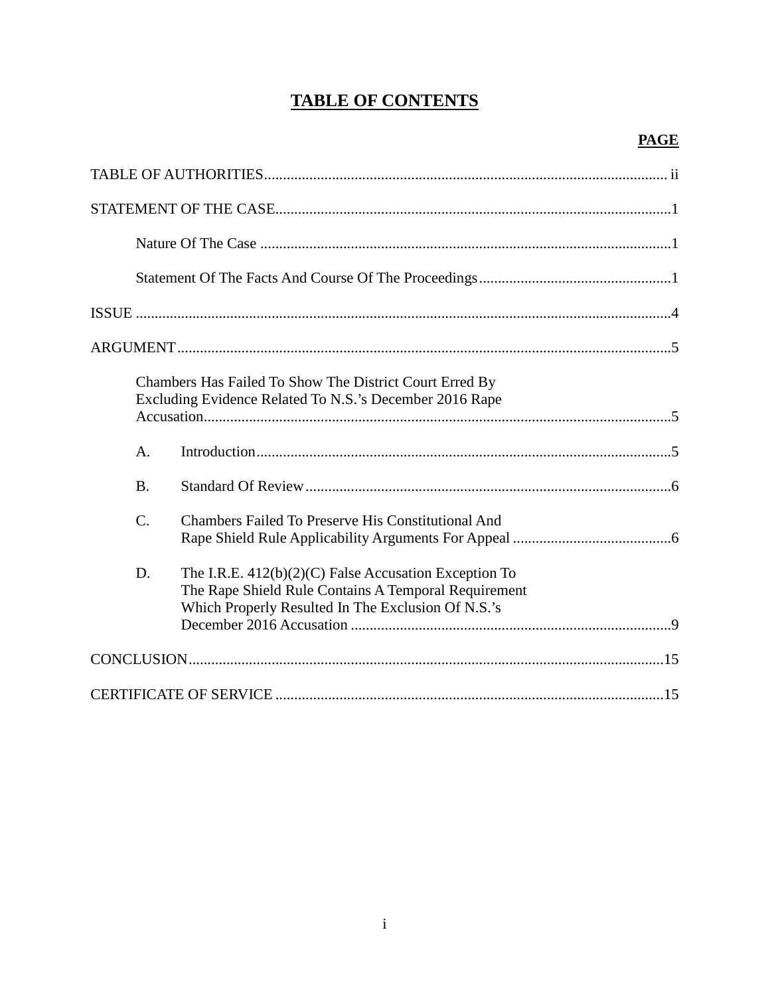# **TABLE OF CONTENTS**

| Chambers Has Failed To Show The District Court Erred By<br>Excluding Evidence Related To N.S.'s December 2016 Rape |                                                                                                                                                                       |
|--------------------------------------------------------------------------------------------------------------------|-----------------------------------------------------------------------------------------------------------------------------------------------------------------------|
| $\mathbf{A}$ .                                                                                                     |                                                                                                                                                                       |
| <b>B.</b>                                                                                                          |                                                                                                                                                                       |
| $\mathcal{C}$ .                                                                                                    | <b>Chambers Failed To Preserve His Constitutional And</b>                                                                                                             |
| D.                                                                                                                 | The I.R.E. $412(b)(2)(C)$ False Accusation Exception To<br>The Rape Shield Rule Contains A Temporal Requirement<br>Which Properly Resulted In The Exclusion Of N.S.'s |
|                                                                                                                    |                                                                                                                                                                       |
|                                                                                                                    |                                                                                                                                                                       |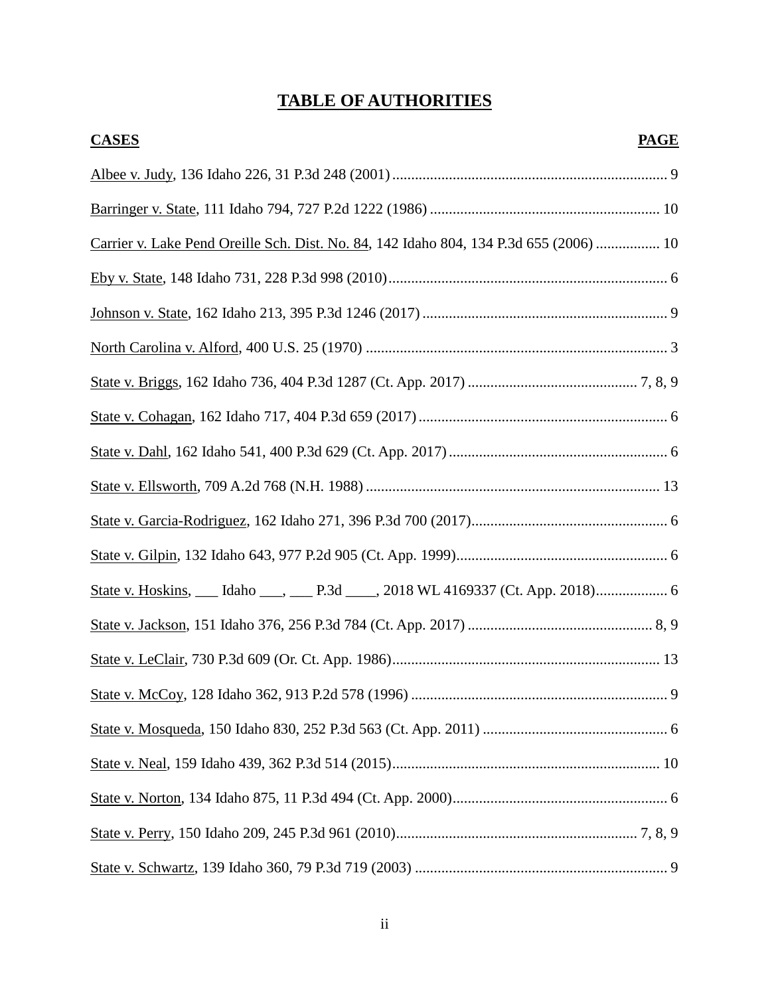# **TABLE OF AUTHORITIES**

| <b>CASES</b><br><b>PAGE</b>                                                            |
|----------------------------------------------------------------------------------------|
|                                                                                        |
|                                                                                        |
| Carrier v. Lake Pend Oreille Sch. Dist. No. 84, 142 Idaho 804, 134 P.3d 655 (2006)  10 |
|                                                                                        |
|                                                                                        |
|                                                                                        |
|                                                                                        |
|                                                                                        |
|                                                                                        |
|                                                                                        |
|                                                                                        |
|                                                                                        |
|                                                                                        |
|                                                                                        |
|                                                                                        |
|                                                                                        |
|                                                                                        |
|                                                                                        |
|                                                                                        |
|                                                                                        |
|                                                                                        |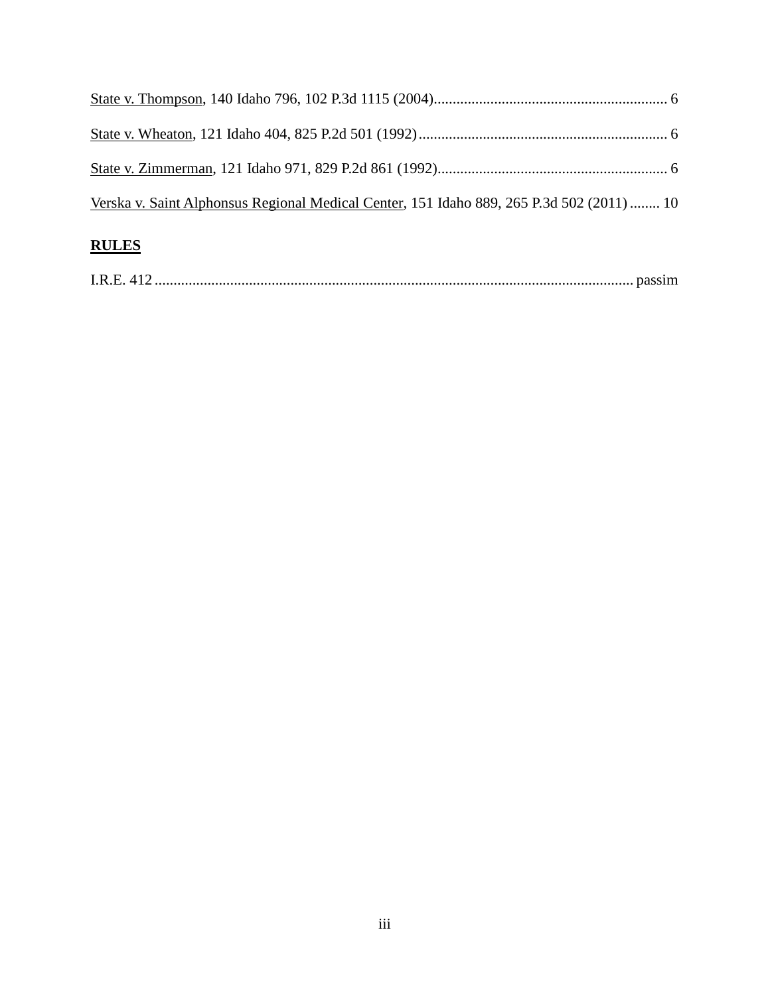| <b>RULES</b>                                                                              |  |
|-------------------------------------------------------------------------------------------|--|
| Verska v. Saint Alphonsus Regional Medical Center, 151 Idaho 889, 265 P.3d 502 (2011)  10 |  |
|                                                                                           |  |
|                                                                                           |  |
|                                                                                           |  |

| I.R.E. |  |
|--------|--|
|--------|--|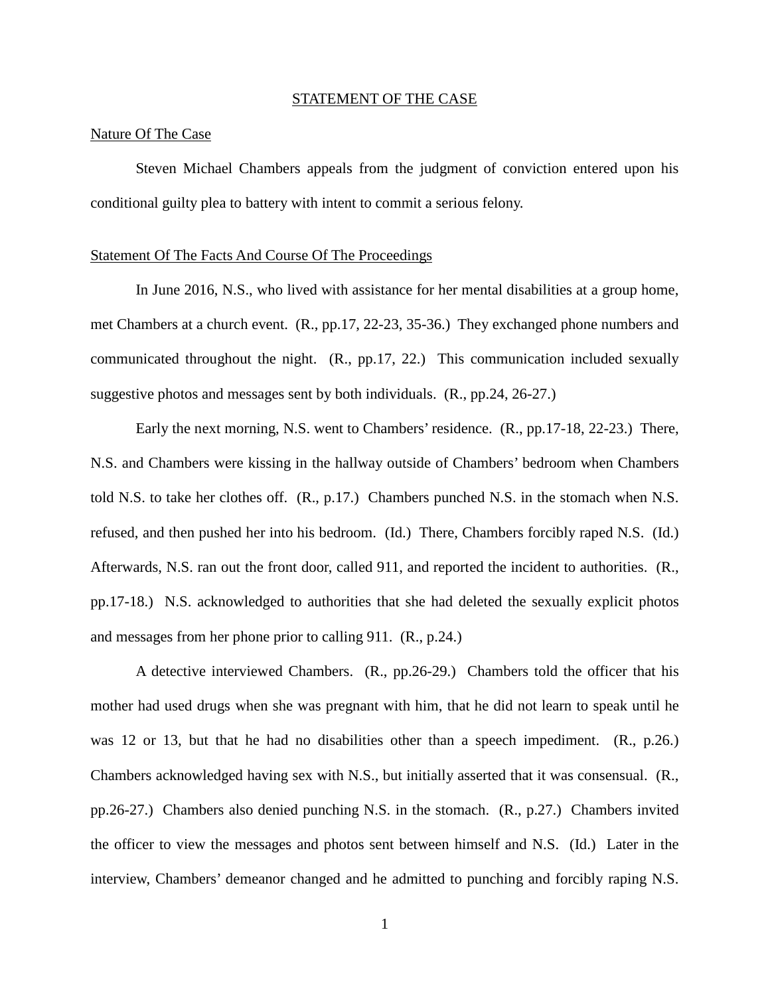#### STATEMENT OF THE CASE

## Nature Of The Case

Steven Michael Chambers appeals from the judgment of conviction entered upon his conditional guilty plea to battery with intent to commit a serious felony.

#### Statement Of The Facts And Course Of The Proceedings

In June 2016, N.S., who lived with assistance for her mental disabilities at a group home, met Chambers at a church event. (R., pp.17, 22-23, 35-36.) They exchanged phone numbers and communicated throughout the night. (R., pp.17, 22.) This communication included sexually suggestive photos and messages sent by both individuals. (R., pp.24, 26-27.)

Early the next morning, N.S. went to Chambers' residence. (R., pp.17-18, 22-23.) There, N.S. and Chambers were kissing in the hallway outside of Chambers' bedroom when Chambers told N.S. to take her clothes off. (R., p.17.) Chambers punched N.S. in the stomach when N.S. refused, and then pushed her into his bedroom. (Id.) There, Chambers forcibly raped N.S. (Id.) Afterwards, N.S. ran out the front door, called 911, and reported the incident to authorities. (R., pp.17-18.) N.S. acknowledged to authorities that she had deleted the sexually explicit photos and messages from her phone prior to calling 911. (R., p.24.)

A detective interviewed Chambers. (R., pp.26-29.) Chambers told the officer that his mother had used drugs when she was pregnant with him, that he did not learn to speak until he was 12 or 13, but that he had no disabilities other than a speech impediment. (R., p.26.) Chambers acknowledged having sex with N.S., but initially asserted that it was consensual. (R., pp.26-27.) Chambers also denied punching N.S. in the stomach. (R., p.27.) Chambers invited the officer to view the messages and photos sent between himself and N.S. (Id.) Later in the interview, Chambers' demeanor changed and he admitted to punching and forcibly raping N.S.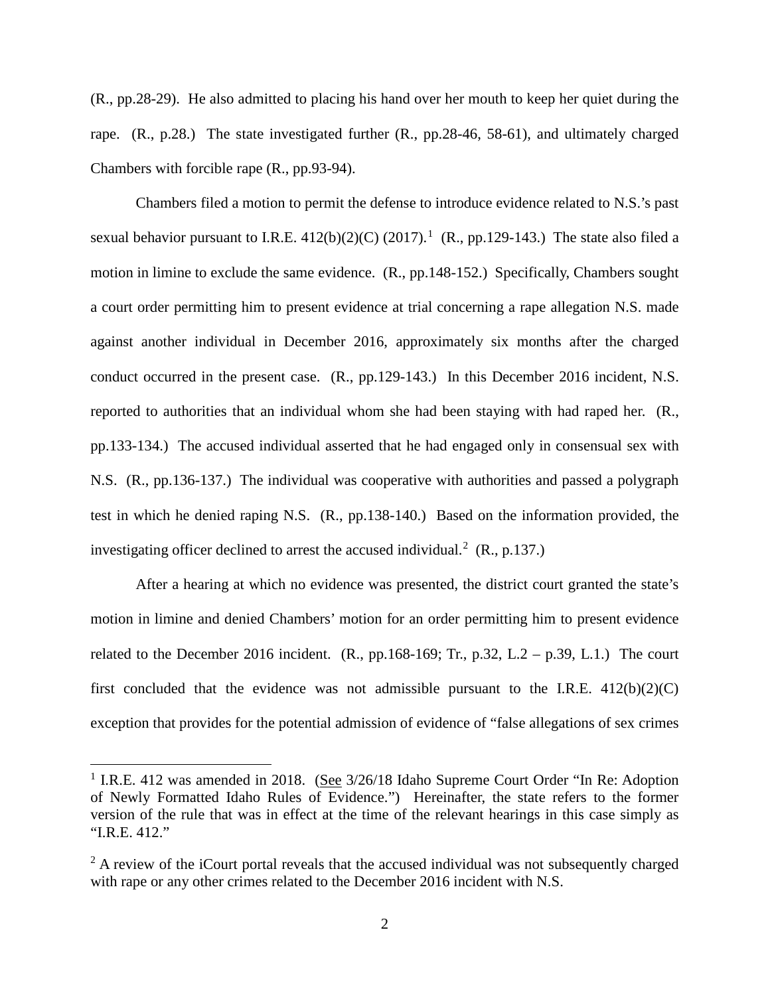(R., pp.28-29). He also admitted to placing his hand over her mouth to keep her quiet during the rape. (R., p.28.) The state investigated further (R., pp.28-46, 58-61), and ultimately charged Chambers with forcible rape (R., pp.93-94).

 Chambers filed a motion to permit the defense to introduce evidence related to N.S.'s past sexual behavior pursuant to I.R.E.  $412(b)(2)(C)$  $412(b)(2)(C)$  $412(b)(2)(C)$   $(2017).<sup>1</sup>$  (R., pp.129-143.) The state also filed a motion in limine to exclude the same evidence. (R., pp.148-152.) Specifically, Chambers sought a court order permitting him to present evidence at trial concerning a rape allegation N.S. made against another individual in December 2016, approximately six months after the charged conduct occurred in the present case. (R., pp.129-143.) In this December 2016 incident, N.S. reported to authorities that an individual whom she had been staying with had raped her. (R., pp.133-134.) The accused individual asserted that he had engaged only in consensual sex with N.S. (R., pp.136-137.) The individual was cooperative with authorities and passed a polygraph test in which he denied raping N.S. (R., pp.138-140.) Based on the information provided, the investigating officer declined to arrest the accused individual.<sup>[2](#page--1-1)</sup> (R., p.137.)

After a hearing at which no evidence was presented, the district court granted the state's motion in limine and denied Chambers' motion for an order permitting him to present evidence related to the December 2016 incident.  $(R., pp.168-169; Tr., p.32, L.2 - p.39, L.1.)$  The court first concluded that the evidence was not admissible pursuant to the I.R.E.  $412(b)(2)(C)$ exception that provides for the potential admission of evidence of "false allegations of sex crimes

 $\overline{a}$ 

<sup>&</sup>lt;sup>1</sup> I.R.E. 412 was amended in 2018. (See 3/26/18 Idaho Supreme Court Order "In Re: Adoption of Newly Formatted Idaho Rules of Evidence.") Hereinafter, the state refers to the former version of the rule that was in effect at the time of the relevant hearings in this case simply as "I.R.E. 412."

 $2A$  review of the iCourt portal reveals that the accused individual was not subsequently charged with rape or any other crimes related to the December 2016 incident with N.S.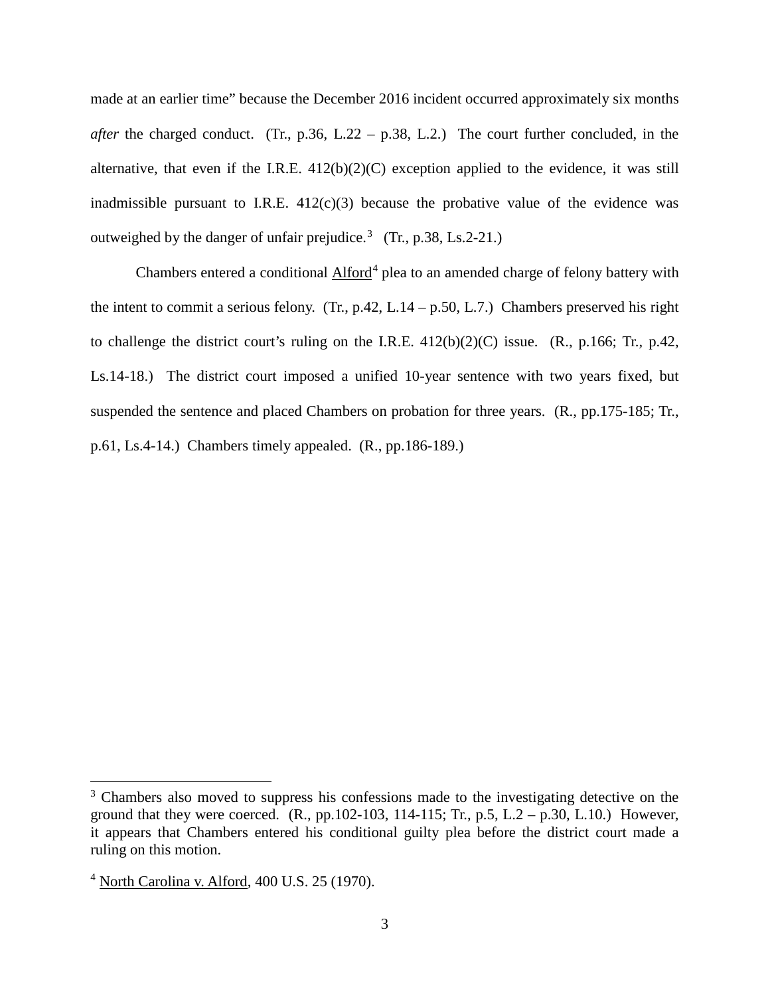made at an earlier time" because the December 2016 incident occurred approximately six months *after* the charged conduct. (Tr., p.36, L.22 – p.38, L.2.) The court further concluded, in the alternative, that even if the I.R.E.  $412(b)(2)(C)$  exception applied to the evidence, it was still inadmissible pursuant to I.R.E.  $412(c)(3)$  because the probative value of the evidence was outweighed by the danger of unfair prejudice.<sup>[3](#page--1-2)</sup> (Tr., p.38, Ls.2-21.)

Chambers entered a conditional  $\mathrm{Alford}^4$  $\mathrm{Alford}^4$  plea to an amended charge of felony battery with the intent to commit a serious felony. (Tr., p.42, L.14 – p.50, L.7.) Chambers preserved his right to challenge the district court's ruling on the I.R.E.  $412(b)(2)(C)$  issue. (R., p.166; Tr., p.42, Ls.14-18.) The district court imposed a unified 10-year sentence with two years fixed, but suspended the sentence and placed Chambers on probation for three years. (R., pp.175-185; Tr., p.61, Ls.4-14.) Chambers timely appealed. (R., pp.186-189.)

 $\overline{a}$ 

<sup>&</sup>lt;sup>3</sup> Chambers also moved to suppress his confessions made to the investigating detective on the ground that they were coerced.  $(R., pp.102-103, 114-115; Tr., p.5, L.2 - p.30, L.10.)$  However, it appears that Chambers entered his conditional guilty plea before the district court made a ruling on this motion.

<sup>&</sup>lt;sup>4</sup> North Carolina v. Alford, 400 U.S. 25 (1970).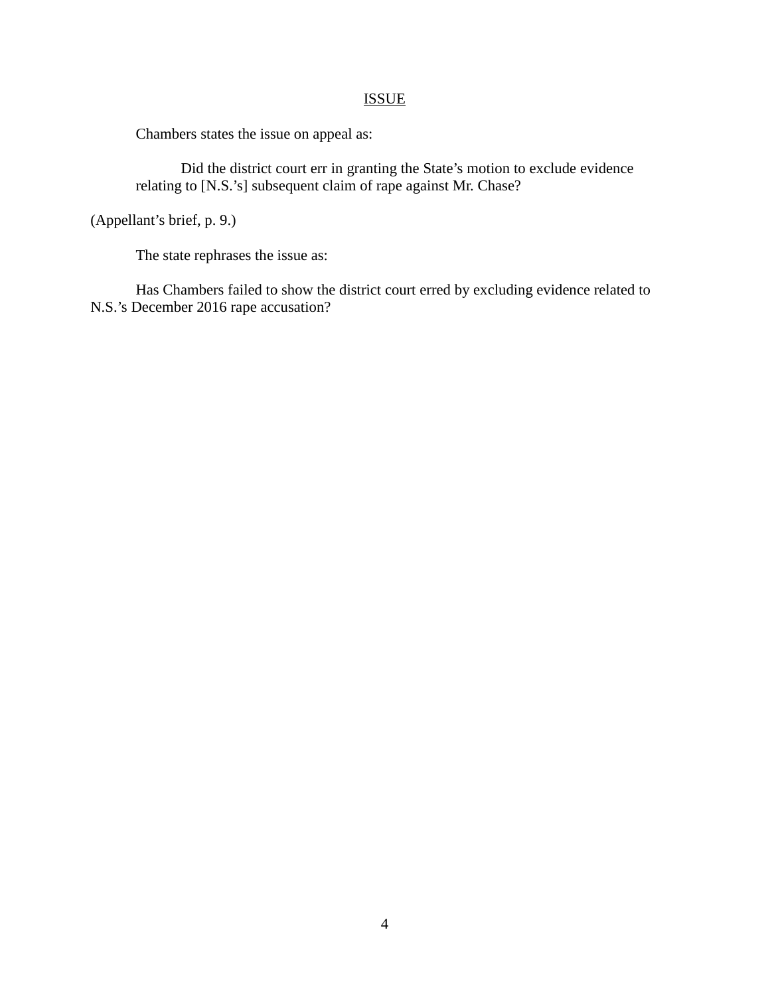# **ISSUE**

Chambers states the issue on appeal as:

Did the district court err in granting the State's motion to exclude evidence relating to [N.S.'s] subsequent claim of rape against Mr. Chase?

(Appellant's brief, p. 9.)

The state rephrases the issue as:

Has Chambers failed to show the district court erred by excluding evidence related to N.S.'s December 2016 rape accusation?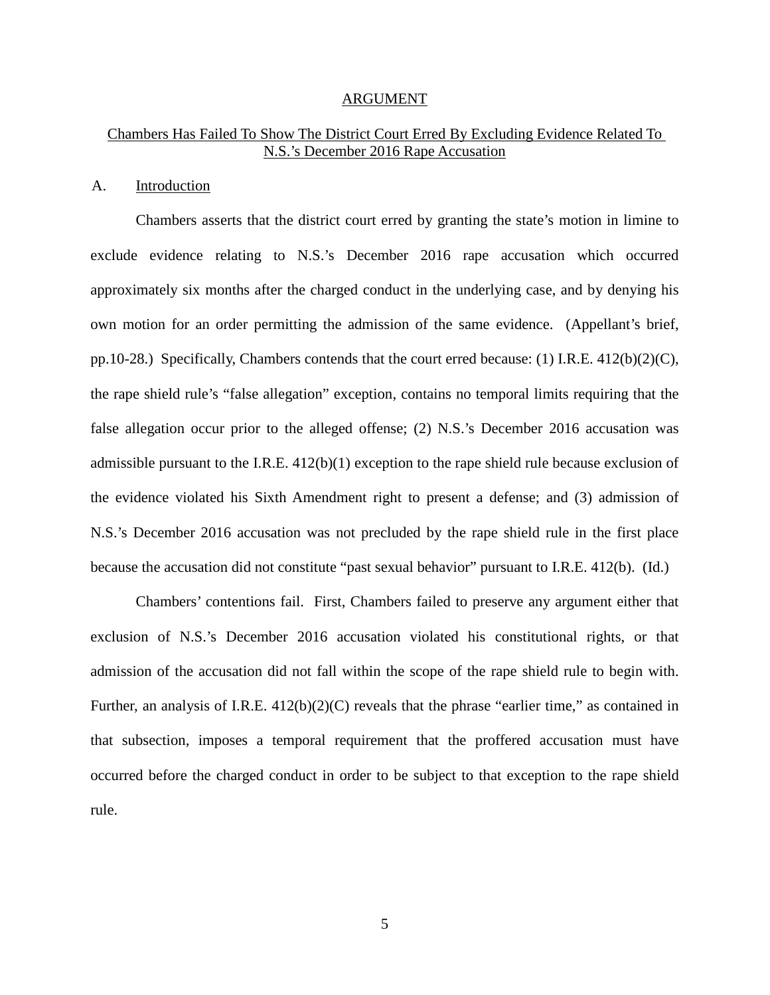#### ARGUMENT

# Chambers Has Failed To Show The District Court Erred By Excluding Evidence Related To N.S.'s December 2016 Rape Accusation

## A. Introduction

Chambers asserts that the district court erred by granting the state's motion in limine to exclude evidence relating to N.S.'s December 2016 rape accusation which occurred approximately six months after the charged conduct in the underlying case, and by denying his own motion for an order permitting the admission of the same evidence. (Appellant's brief, pp.10-28.) Specifically, Chambers contends that the court erred because: (1) I.R.E. 412(b)(2)(C), the rape shield rule's "false allegation" exception, contains no temporal limits requiring that the false allegation occur prior to the alleged offense; (2) N.S.'s December 2016 accusation was admissible pursuant to the I.R.E. 412(b)(1) exception to the rape shield rule because exclusion of the evidence violated his Sixth Amendment right to present a defense; and (3) admission of N.S.'s December 2016 accusation was not precluded by the rape shield rule in the first place because the accusation did not constitute "past sexual behavior" pursuant to I.R.E. 412(b). (Id.)

Chambers' contentions fail. First, Chambers failed to preserve any argument either that exclusion of N.S.'s December 2016 accusation violated his constitutional rights, or that admission of the accusation did not fall within the scope of the rape shield rule to begin with. Further, an analysis of I.R.E. 412(b)(2)(C) reveals that the phrase "earlier time," as contained in that subsection, imposes a temporal requirement that the proffered accusation must have occurred before the charged conduct in order to be subject to that exception to the rape shield rule.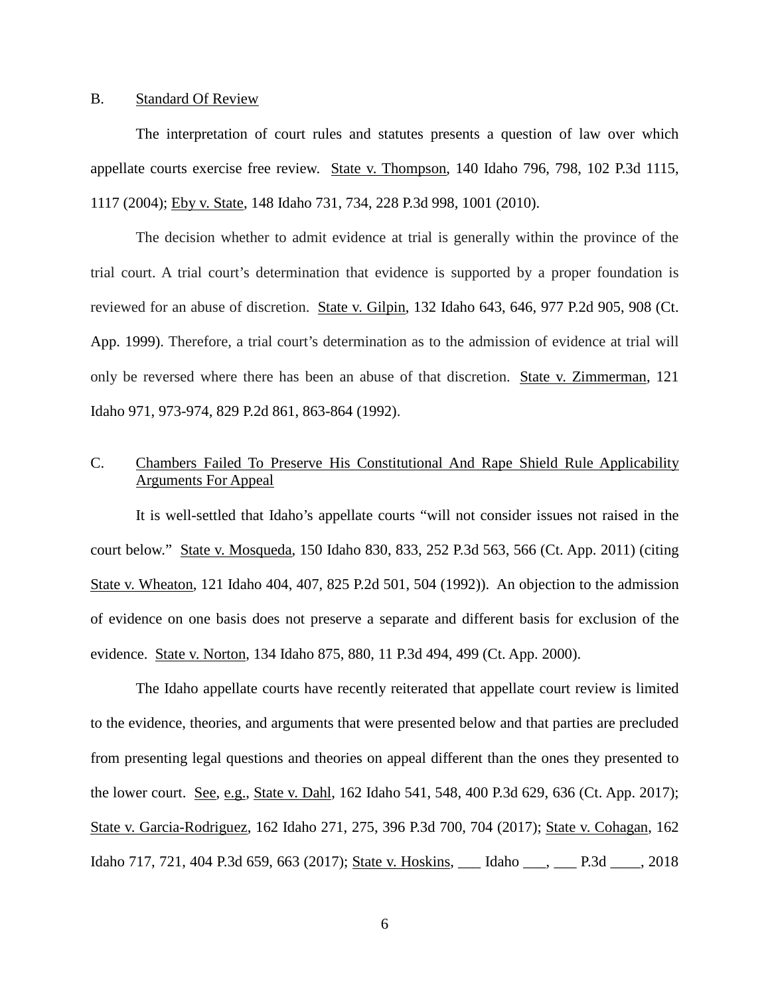## B. Standard Of Review

The interpretation of court rules and statutes presents a question of law over which appellate courts exercise free review. State v. Thompson, 140 Idaho 796, 798, 102 P.3d 1115, 1117 (2004); Eby v. State, 148 Idaho 731, 734, 228 P.3d 998, 1001 (2010).

The decision whether to admit evidence at trial is generally within the province of the trial court. A trial court's determination that evidence is supported by a proper foundation is reviewed for an abuse of discretion. State v. Gilpin, 132 Idaho 643, 646, 977 P.2d 905, 908 (Ct. App. 1999). Therefore, a trial court's determination as to the admission of evidence at trial will only be reversed where there has been an abuse of that discretion. State v. Zimmerman, 121 Idaho 971, 973-974, 829 P.2d 861, 863-864 (1992).

# C. Chambers Failed To Preserve His Constitutional And Rape Shield Rule Applicability Arguments For Appeal

It is well-settled that Idaho's appellate courts "will not consider issues not raised in the court below." State v. Mosqueda, 150 Idaho 830, 833, 252 P.3d 563, 566 (Ct. App. 2011) (citing State v. Wheaton, 121 Idaho 404, 407, 825 P.2d 501, 504 (1992)). An objection to the admission of evidence on one basis does not preserve a separate and different basis for exclusion of the evidence. State v. Norton, 134 Idaho 875, 880, 11 P.3d 494, 499 (Ct. App. 2000).

The Idaho appellate courts have recently reiterated that appellate court review is limited to the evidence, theories, and arguments that were presented below and that parties are precluded from presenting legal questions and theories on appeal different than the ones they presented to the lower court. See, e.g., State v. Dahl, 162 Idaho 541, 548, 400 P.3d 629, 636 (Ct. App. 2017); State v. Garcia-Rodriguez, 162 Idaho 271, 275, 396 P.3d 700, 704 (2017); State v. Cohagan, 162 Idaho 717, 721, 404 P.3d 659, 663 (2017); State v. Hoskins, \_\_\_ Idaho \_\_\_, \_\_\_ P.3d \_\_\_\_, 2018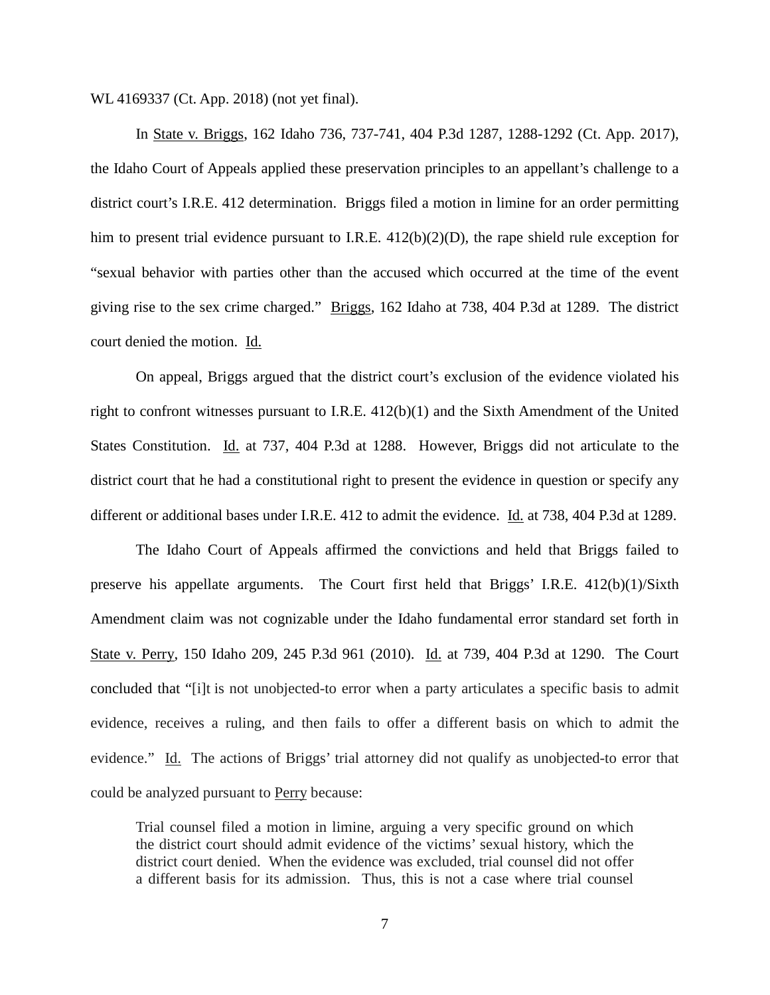WL 4169337 (Ct. App. 2018) (not yet final).

In State v. Briggs, 162 Idaho 736, 737-741, 404 P.3d 1287, 1288-1292 (Ct. App. 2017), the Idaho Court of Appeals applied these preservation principles to an appellant's challenge to a district court's I.R.E. 412 determination. Briggs filed a motion in limine for an order permitting him to present trial evidence pursuant to I.R.E.  $412(b)(2)(D)$ , the rape shield rule exception for "sexual behavior with parties other than the accused which occurred at the time of the event giving rise to the sex crime charged." Briggs, 162 Idaho at 738, 404 P.3d at 1289. The district court denied the motion. Id.

On appeal, Briggs argued that the district court's exclusion of the evidence violated his right to confront witnesses pursuant to I.R.E. 412(b)(1) and the Sixth Amendment of the United States Constitution. Id. at 737, 404 P.3d at 1288. However, Briggs did not articulate to the district court that he had a constitutional right to present the evidence in question or specify any different or additional bases under I.R.E. 412 to admit the evidence. Id. at 738, 404 P.3d at 1289.

The Idaho Court of Appeals affirmed the convictions and held that Briggs failed to preserve his appellate arguments. The Court first held that Briggs' I.R.E. 412(b)(1)/Sixth Amendment claim was not cognizable under the Idaho fundamental error standard set forth in State v. Perry, 150 Idaho 209, 245 P.3d 961 (2010). Id. at 739, 404 P.3d at 1290. The Court concluded that "[i]t is not unobjected-to error when a party articulates a specific basis to admit evidence, receives a ruling, and then fails to offer a different basis on which to admit the evidence." Id. The actions of Briggs' trial attorney did not qualify as unobjected-to error that could be analyzed pursuant to Perry because:

Trial counsel filed a motion in limine, arguing a very specific ground on which the district court should admit evidence of the victims' sexual history, which the district court denied. When the evidence was excluded, trial counsel did not offer a different basis for its admission. Thus, this is not a case where trial counsel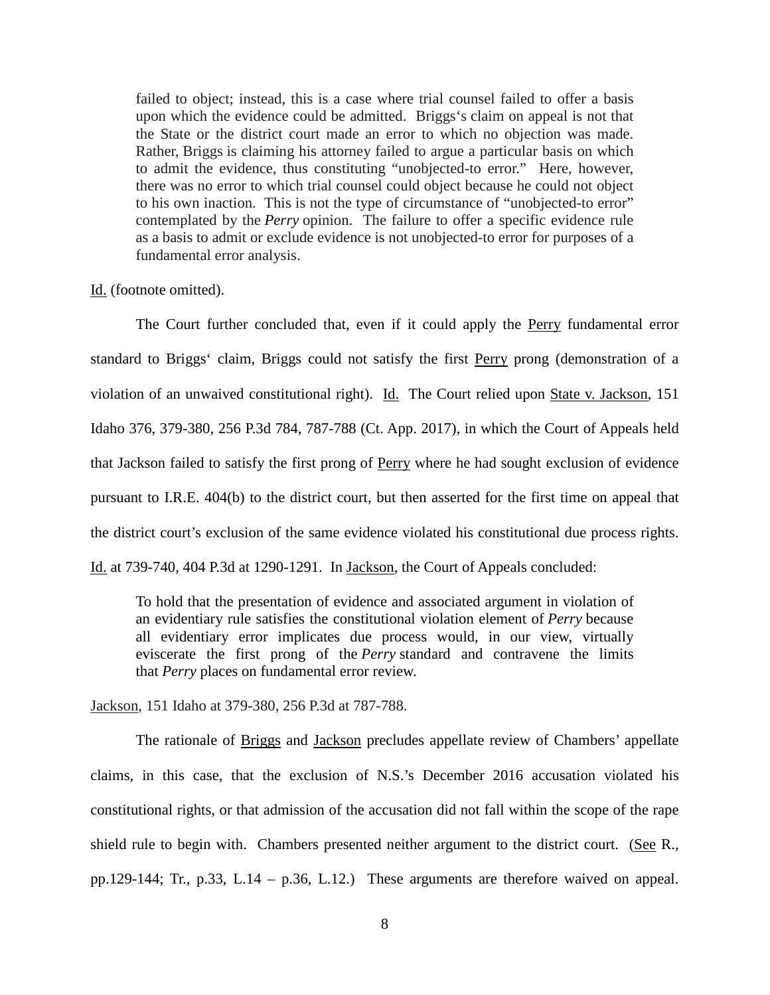failed to object; instead, this is a case where trial counsel failed to offer a basis upon which the evidence could be admitted. Briggs's claim on appeal is not that the State or the district court made an error to which no objection was made. Rather, Briggs is claiming his attorney failed to argue a particular basis on which to admit the evidence, thus constituting "unobjected-to error." Here, however, there was no error to which trial counsel could object because he could not object to his own inaction. This is not the type of circumstance of "unobjected-to error" contemplated by the *Perry* opinion. The failure to offer a specific evidence rule as a basis to admit or exclude evidence is not unobjected-to error for purposes of a fundamental error analysis.

## Id. (footnote omitted).

The Court further concluded that, even if it could apply the Perry fundamental error standard to Briggs' claim, Briggs could not satisfy the first Perry prong (demonstration of a violation of an unwaived constitutional right). Id. The Court relied upon State v. Jackson, 151 Idaho 376, 379-380, 256 P.3d 784, 787-788 (Ct. App. 2017), in which the Court of Appeals held that Jackson failed to satisfy the first prong of Perry where he had sought exclusion of evidence pursuant to I.R.E. 404(b) to the district court, but then asserted for the first time on appeal that the district court's exclusion of the same evidence violated his constitutional due process rights. Id. at 739-740, 404 P.3d at 1290-1291. In Jackson, the Court of Appeals concluded:

To hold that the presentation of evidence and associated argument in violation of an evidentiary rule satisfies the constitutional violation element of *Perry* because all evidentiary error implicates due process would, in our view, virtually eviscerate the first prong of the *Perry* standard and contravene the limits that *Perry* places on fundamental error review.

Jackson, 151 Idaho at 379-380, 256 P.3d at 787-788.

The rationale of Briggs and Jackson precludes appellate review of Chambers' appellate claims, in this case, that the exclusion of N.S.'s December 2016 accusation violated his constitutional rights, or that admission of the accusation did not fall within the scope of the rape shield rule to begin with. Chambers presented neither argument to the district court. (See R., pp.129-144; Tr., p.33, L.14 – p.36, L.12.) These arguments are therefore waived on appeal.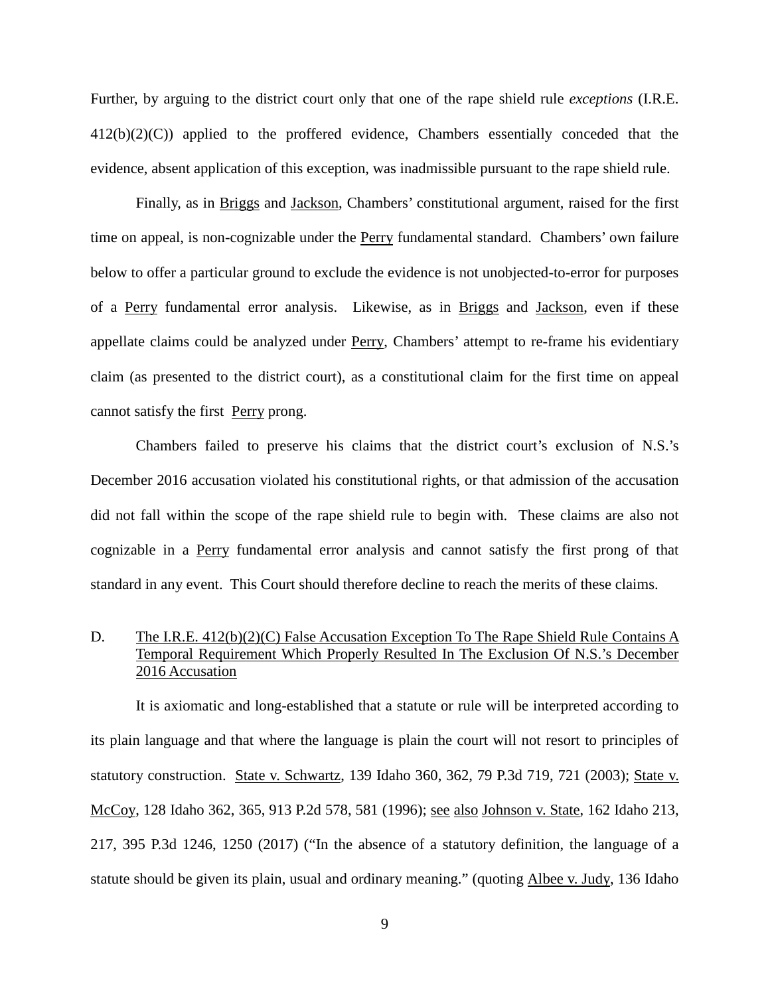Further, by arguing to the district court only that one of the rape shield rule *exceptions* (I.R.E. 412(b)(2)(C)) applied to the proffered evidence, Chambers essentially conceded that the evidence, absent application of this exception, was inadmissible pursuant to the rape shield rule.

Finally, as in Briggs and Jackson, Chambers' constitutional argument, raised for the first time on appeal, is non-cognizable under the Perry fundamental standard. Chambers' own failure below to offer a particular ground to exclude the evidence is not unobjected-to-error for purposes of a Perry fundamental error analysis. Likewise, as in Briggs and Jackson, even if these appellate claims could be analyzed under Perry, Chambers' attempt to re-frame his evidentiary claim (as presented to the district court), as a constitutional claim for the first time on appeal cannot satisfy the first Perry prong.

Chambers failed to preserve his claims that the district court's exclusion of N.S.'s December 2016 accusation violated his constitutional rights, or that admission of the accusation did not fall within the scope of the rape shield rule to begin with. These claims are also not cognizable in a Perry fundamental error analysis and cannot satisfy the first prong of that standard in any event. This Court should therefore decline to reach the merits of these claims.

# D. The I.R.E. 412(b)(2)(C) False Accusation Exception To The Rape Shield Rule Contains A Temporal Requirement Which Properly Resulted In The Exclusion Of N.S.'s December 2016 Accusation

It is axiomatic and long-established that a statute or rule will be interpreted according to its plain language and that where the language is plain the court will not resort to principles of statutory construction. State v. Schwartz, 139 Idaho 360, 362, 79 P.3d 719, 721 (2003); State v. McCoy, 128 Idaho 362, 365, 913 P.2d 578, 581 (1996); <u>see also Johnson v. State</u>, 162 Idaho 213, 217, 395 P.3d 1246, 1250 (2017) ("In the absence of a statutory definition, the language of a statute should be given its plain, usual and ordinary meaning." (quoting Albee v. Judy, 136 Idaho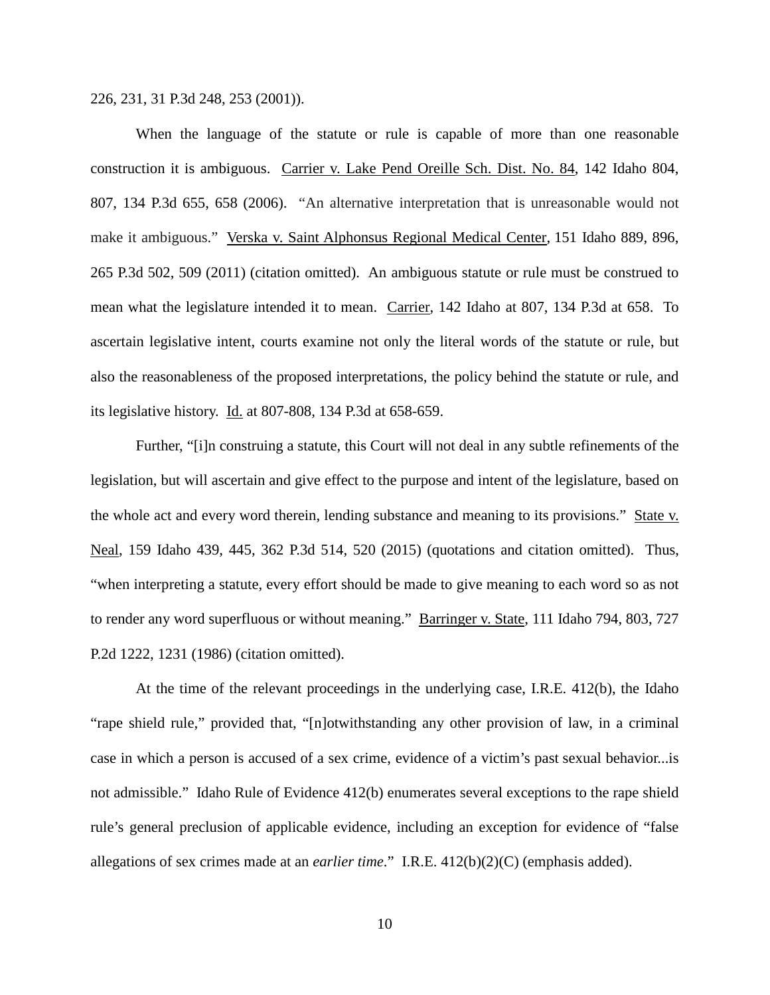226, 231, 31 P.3d 248, 253 (2001)).

When the language of the statute or rule is capable of more than one reasonable construction it is ambiguous. Carrier v. Lake Pend Oreille Sch. Dist. No. 84, 142 Idaho 804, 807, 134 P.3d 655, 658 (2006). "An alternative interpretation that is unreasonable would not make it ambiguous." Verska v. Saint Alphonsus Regional Medical Center, 151 Idaho 889, 896, 265 P.3d 502, 509 (2011) (citation omitted). An ambiguous statute or rule must be construed to mean what the legislature intended it to mean. Carrier, 142 Idaho at 807, 134 P.3d at 658. To ascertain legislative intent, courts examine not only the literal words of the statute or rule, but also the reasonableness of the proposed interpretations, the policy behind the statute or rule, and its legislative history. Id. at 807-808, 134 P.3d at 658-659.

Further, "[i]n construing a statute, this Court will not deal in any subtle refinements of the legislation, but will ascertain and give effect to the purpose and intent of the legislature, based on the whole act and every word therein, lending substance and meaning to its provisions." State v. Neal, 159 Idaho 439, 445, 362 P.3d 514, 520 (2015) (quotations and citation omitted). Thus, "when interpreting a statute, every effort should be made to give meaning to each word so as not to render any word superfluous or without meaning." Barringer v. State, 111 Idaho 794, 803, 727 P.2d 1222, 1231 (1986) (citation omitted).

At the time of the relevant proceedings in the underlying case, I.R.E. 412(b), the Idaho "rape shield rule," provided that, "[n]otwithstanding any other provision of law, in a criminal case in which a person is accused of a sex crime, evidence of a victim's past sexual behavior...is not admissible." Idaho Rule of Evidence 412(b) enumerates several exceptions to the rape shield rule's general preclusion of applicable evidence, including an exception for evidence of "false allegations of sex crimes made at an *earlier time*." I.R.E. 412(b)(2)(C) (emphasis added).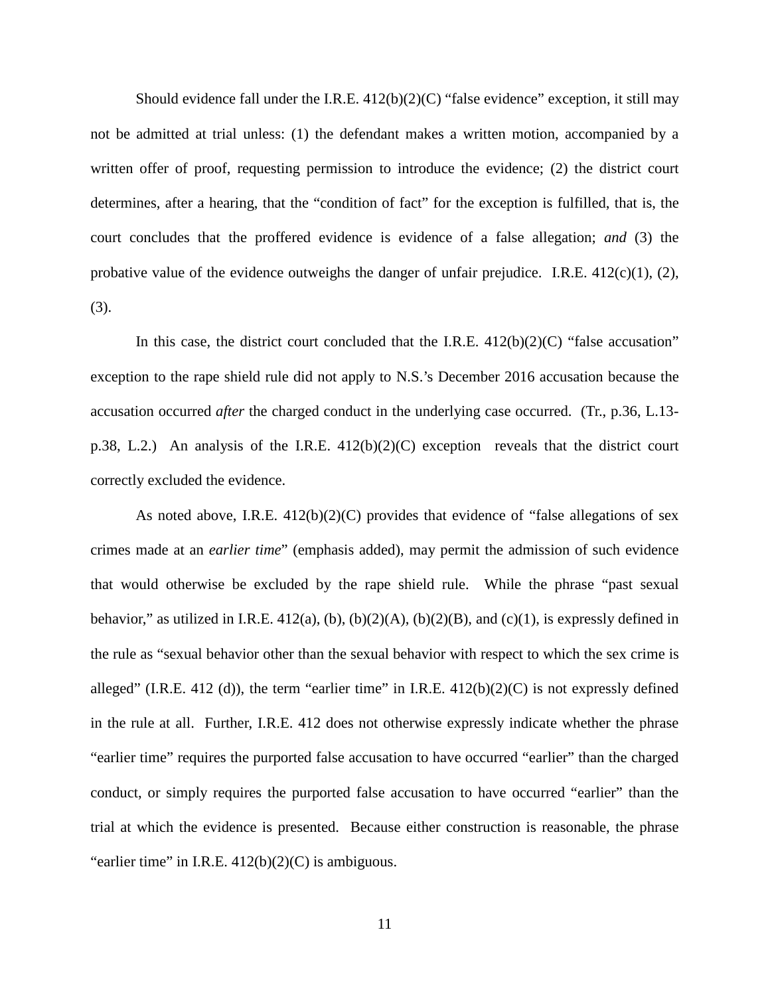Should evidence fall under the I.R.E.  $412(b)(2)(C)$  "false evidence" exception, it still may not be admitted at trial unless: (1) the defendant makes a written motion, accompanied by a written offer of proof, requesting permission to introduce the evidence; (2) the district court determines, after a hearing, that the "condition of fact" for the exception is fulfilled, that is, the court concludes that the proffered evidence is evidence of a false allegation; *and* (3) the probative value of the evidence outweighs the danger of unfair prejudice. I.R.E. 412(c)(1), (2), (3).

In this case, the district court concluded that the I.R.E.  $412(b)(2)(C)$  "false accusation" exception to the rape shield rule did not apply to N.S.'s December 2016 accusation because the accusation occurred *after* the charged conduct in the underlying case occurred. (Tr., p.36, L.13 p.38, L.2.) An analysis of the I.R.E. 412(b)(2)(C) exception reveals that the district court correctly excluded the evidence.

As noted above, I.R.E. 412(b)(2)(C) provides that evidence of "false allegations of sex crimes made at an *earlier time*" (emphasis added), may permit the admission of such evidence that would otherwise be excluded by the rape shield rule. While the phrase "past sexual behavior," as utilized in I.R.E. 412(a), (b),  $(b)(2)(A)$ ,  $(b)(2)(B)$ , and  $(c)(1)$ , is expressly defined in the rule as "sexual behavior other than the sexual behavior with respect to which the sex crime is alleged" (I.R.E. 412 (d)), the term "earlier time" in I.R.E.  $412(b)(2)(C)$  is not expressly defined in the rule at all. Further, I.R.E. 412 does not otherwise expressly indicate whether the phrase "earlier time" requires the purported false accusation to have occurred "earlier" than the charged conduct, or simply requires the purported false accusation to have occurred "earlier" than the trial at which the evidence is presented. Because either construction is reasonable, the phrase "earlier time" in I.R.E.  $412(b)(2)(C)$  is ambiguous.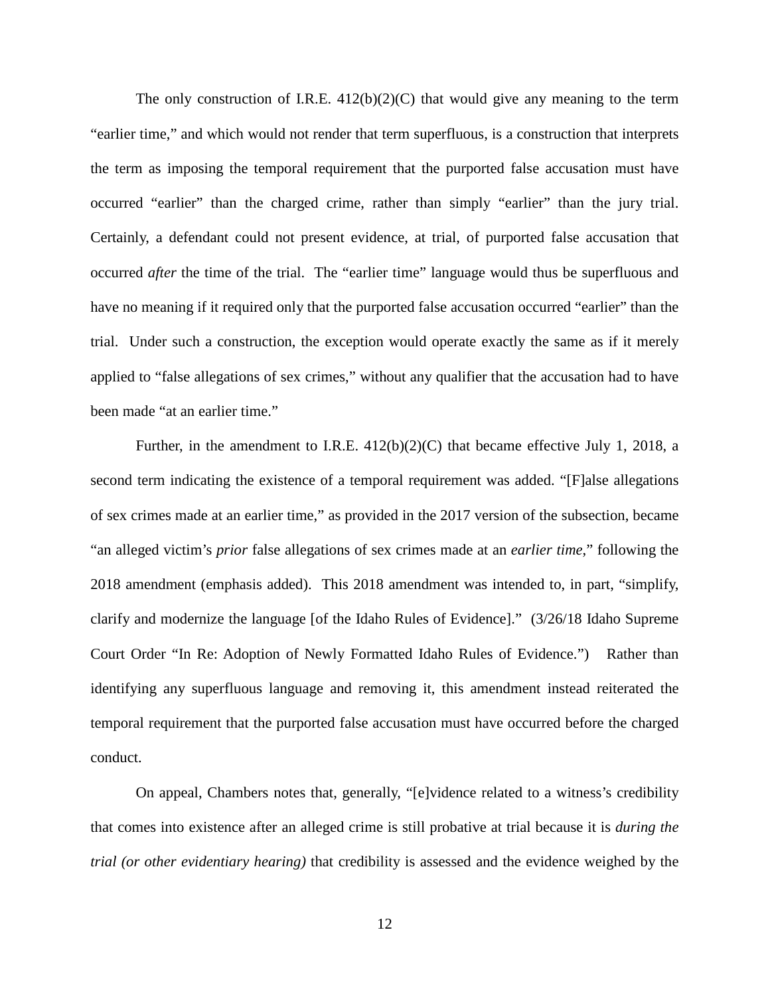The only construction of I.R.E.  $412(b)(2)(C)$  that would give any meaning to the term "earlier time," and which would not render that term superfluous, is a construction that interprets the term as imposing the temporal requirement that the purported false accusation must have occurred "earlier" than the charged crime, rather than simply "earlier" than the jury trial. Certainly, a defendant could not present evidence, at trial, of purported false accusation that occurred *after* the time of the trial. The "earlier time" language would thus be superfluous and have no meaning if it required only that the purported false accusation occurred "earlier" than the trial. Under such a construction, the exception would operate exactly the same as if it merely applied to "false allegations of sex crimes," without any qualifier that the accusation had to have been made "at an earlier time."

Further, in the amendment to I.R.E. 412(b)(2)(C) that became effective July 1, 2018, a second term indicating the existence of a temporal requirement was added. "[F]alse allegations of sex crimes made at an earlier time," as provided in the 2017 version of the subsection, became "an alleged victim's *prior* false allegations of sex crimes made at an *earlier time*," following the 2018 amendment (emphasis added). This 2018 amendment was intended to, in part, "simplify, clarify and modernize the language [of the Idaho Rules of Evidence]." (3/26/18 Idaho Supreme Court Order "In Re: Adoption of Newly Formatted Idaho Rules of Evidence.") Rather than identifying any superfluous language and removing it, this amendment instead reiterated the temporal requirement that the purported false accusation must have occurred before the charged conduct.

 On appeal, Chambers notes that, generally, "[e]vidence related to a witness's credibility that comes into existence after an alleged crime is still probative at trial because it is *during the trial (or other evidentiary hearing)* that credibility is assessed and the evidence weighed by the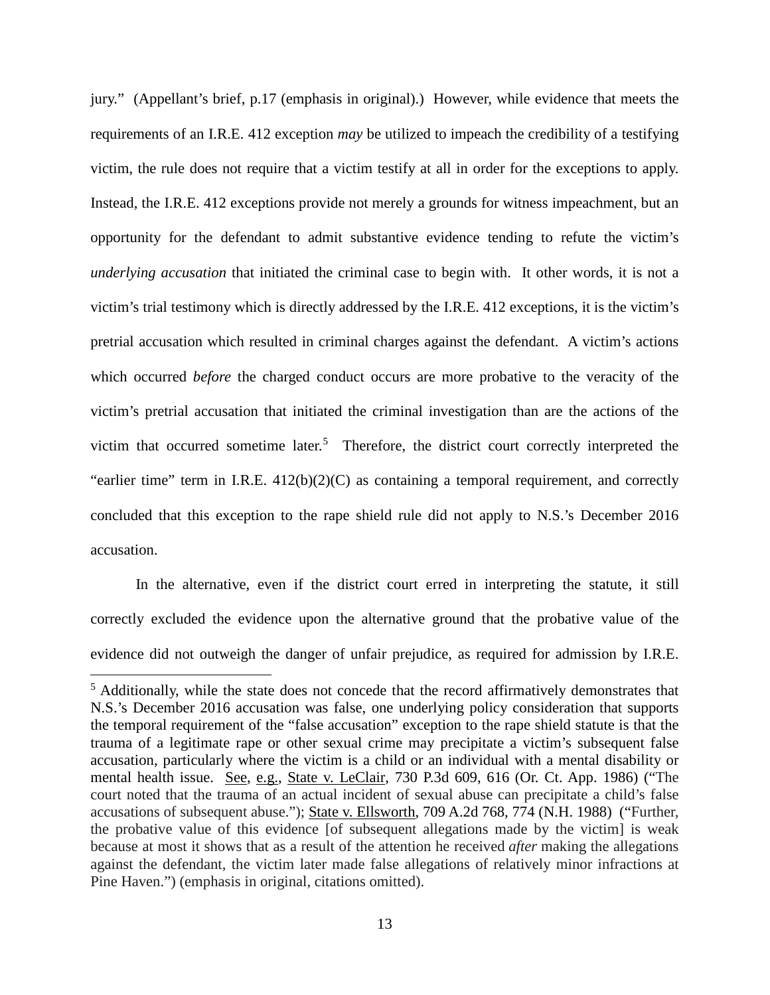jury." (Appellant's brief, p.17 (emphasis in original).) However, while evidence that meets the requirements of an I.R.E. 412 exception *may* be utilized to impeach the credibility of a testifying victim, the rule does not require that a victim testify at all in order for the exceptions to apply. Instead, the I.R.E. 412 exceptions provide not merely a grounds for witness impeachment, but an opportunity for the defendant to admit substantive evidence tending to refute the victim's *underlying accusation* that initiated the criminal case to begin with. It other words, it is not a victim's trial testimony which is directly addressed by the I.R.E. 412 exceptions, it is the victim's pretrial accusation which resulted in criminal charges against the defendant. A victim's actions which occurred *before* the charged conduct occurs are more probative to the veracity of the victim's pretrial accusation that initiated the criminal investigation than are the actions of the victim that occurred sometime later.<sup>[5](#page--1-4)</sup> Therefore, the district court correctly interpreted the "earlier time" term in I.R.E. 412(b)(2)(C) as containing a temporal requirement, and correctly concluded that this exception to the rape shield rule did not apply to N.S.'s December 2016 accusation.

In the alternative, even if the district court erred in interpreting the statute, it still correctly excluded the evidence upon the alternative ground that the probative value of the evidence did not outweigh the danger of unfair prejudice, as required for admission by I.R.E.

 $\overline{a}$ 

<sup>&</sup>lt;sup>5</sup> Additionally, while the state does not concede that the record affirmatively demonstrates that N.S.'s December 2016 accusation was false, one underlying policy consideration that supports the temporal requirement of the "false accusation" exception to the rape shield statute is that the trauma of a legitimate rape or other sexual crime may precipitate a victim's subsequent false accusation, particularly where the victim is a child or an individual with a mental disability or mental health issue. See, e.g., State v. LeClair, 730 P.3d 609, 616 (Or. Ct. App. 1986) ("The court noted that the trauma of an actual incident of sexual abuse can precipitate a child's false accusations of subsequent abuse."); State v. Ellsworth, 709 A.2d 768, 774 (N.H. 1988) ("Further, the probative value of this evidence [of subsequent allegations made by the victim] is weak because at most it shows that as a result of the attention he received *after* making the allegations against the defendant, the victim later made false allegations of relatively minor infractions at Pine Haven.") (emphasis in original, citations omitted).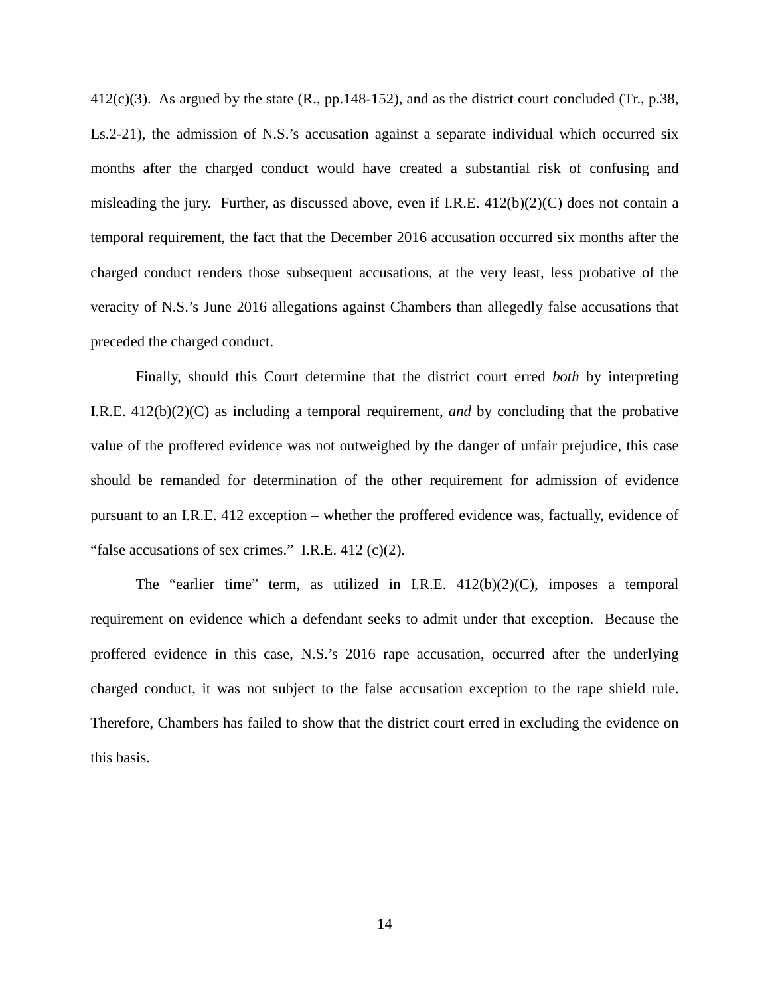$412(c)(3)$ . As argued by the state (R., pp. 148-152), and as the district court concluded (Tr., p. 38, Ls.2-21), the admission of N.S.'s accusation against a separate individual which occurred six months after the charged conduct would have created a substantial risk of confusing and misleading the jury. Further, as discussed above, even if I.R.E.  $412(b)(2)(C)$  does not contain a temporal requirement, the fact that the December 2016 accusation occurred six months after the charged conduct renders those subsequent accusations, at the very least, less probative of the veracity of N.S.'s June 2016 allegations against Chambers than allegedly false accusations that preceded the charged conduct.

Finally, should this Court determine that the district court erred *both* by interpreting I.R.E. 412(b)(2)(C) as including a temporal requirement, *and* by concluding that the probative value of the proffered evidence was not outweighed by the danger of unfair prejudice, this case should be remanded for determination of the other requirement for admission of evidence pursuant to an I.R.E. 412 exception – whether the proffered evidence was, factually, evidence of "false accusations of sex crimes." I.R.E. 412 (c)(2).

The "earlier time" term, as utilized in I.R.E. 412(b)(2)(C), imposes a temporal requirement on evidence which a defendant seeks to admit under that exception. Because the proffered evidence in this case, N.S.'s 2016 rape accusation, occurred after the underlying charged conduct, it was not subject to the false accusation exception to the rape shield rule. Therefore, Chambers has failed to show that the district court erred in excluding the evidence on this basis.

14